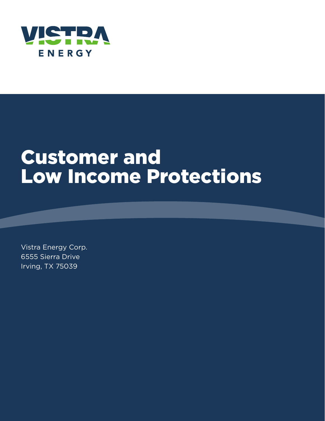

# Customer and Low Income Protections

Vistra Energy Corp. 6555 Sierra Drive Irving, TX 75039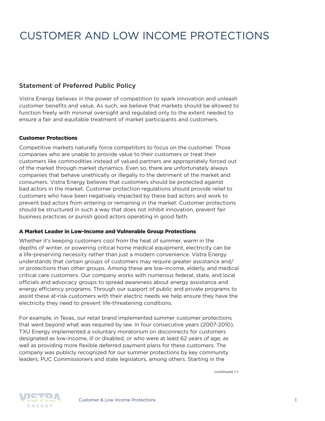# CUSTOMER AND LOW INCOME PROTECTIONS

### Statement of Preferred Public Policy

Vistra Energy believes in the power of competition to spark innovation and unleash customer benefits and value. As such, we believe that markets should be allowed to function freely with minimal oversight and regulated only to the extent needed to ensure a fair and equitable treatment of market participants and customers.

#### Customer Protections

Competitive markets naturally force competitors to focus on the customer. Those companies who are unable to provide value to their customers or treat their customers like commodities instead of valued partners are appropriately forced out of the market through market dynamics. Even so, there are unfortunately always companies that behave unethically or illegally to the detriment of the market and consumers. Vistra Energy believes that customers should be protected against bad actors in the market. Customer protection regulations should provide relief to customers who have been negatively impacted by these bad actors and work to prevent bad actors from entering or remaining in the market. Customer protections should be structured in such a way that does not inhibit innovation, prevent fair business practices or punish good actors operating in good faith.

#### A Market Leader in Low-Income and Vulnerable Group Protections

Whether it's keeping customers cool from the heat of summer, warm in the depths of winter, or powering critical home medical equipment, electricity can be a life-preserving necessity rather than just a modern convenience. Vistra Energy understands that certain groups of customers may require greater assistance and/ or protections than other groups. Among these are low-income, elderly, and medical critical care customers. Our company works with numerous federal, state, and local officials and advocacy groups to spread awareness about energy assistance and energy efficiency programs. Through our support of public and private programs to assist these at-risk customers with their electric needs we help ensure they have the electricity they need to prevent life-threatening conditions.

For example, in Texas, our retail brand implemented summer customer protections that went beyond what was required by law. In four consecutive years (2007-2010), TXU Energy implemented a voluntary moratorium on disconnects for customers designated as low-income, ill or disabled, or who were at least 62 years of age, as well as providing more flexible deferred payment plans for these customers. The company was publicly recognized for our summer protections by key community leaders, PUC Commissioners and state legislators, among others. Starting in the

continued >>

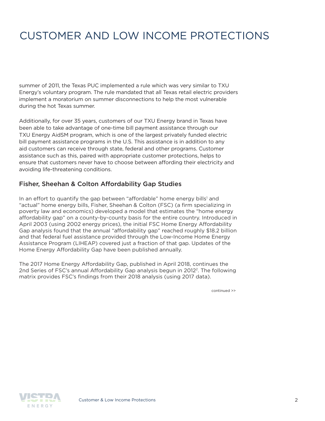# CUSTOMER AND LOW INCOME PROTECTIONS

summer of 2011, the Texas PUC implemented a rule which was very similar to TXU Energy's voluntary program. The rule mandated that all Texas retail electric providers implement a moratorium on summer disconnections to help the most vulnerable during the hot Texas summer.

Additionally, for over 35 years, customers of our TXU Energy brand in Texas have been able to take advantage of one-time bill payment assistance through our TXU Energy AidSM program, which is one of the largest privately funded electric bill payment assistance programs in the U.S. This assistance is in addition to any aid customers can receive through state, federal and other programs. Customer assistance such as this, paired with appropriate customer protections, helps to ensure that customers never have to choose between affording their electricity and avoiding life-threatening conditions.

### Fisher, Sheehan & Colton Affordability Gap Studies

In an effort to quantify the gap between "affordable" home energy bills' and "actual" home energy bills, Fisher, Sheehan & Colton (FSC) (a firm specializing in poverty law and economics) developed a model that estimates the "home energy affordability gap" on a county-by-county basis for the entire country. Introduced in April 2003 (using 2002 energy prices), the initial FSC Home Energy Affordability Gap analysis found that the annual "affordability gap" reached roughly \$18.2 billion and that federal fuel assistance provided through the Low-Income Home Energy Assistance Program (LIHEAP) covered just a fraction of that gap. Updates of the Home Energy Affordability Gap have been published annually.

The 2017 Home Energy Affordability Gap, published in April 2018, continues the 2nd Series of FSC's annual Affordability Gap analysis begun in 2012<sup>2</sup>. The following matrix provides FSC's findings from their 2018 analysis (using 2017 data).

continued >>